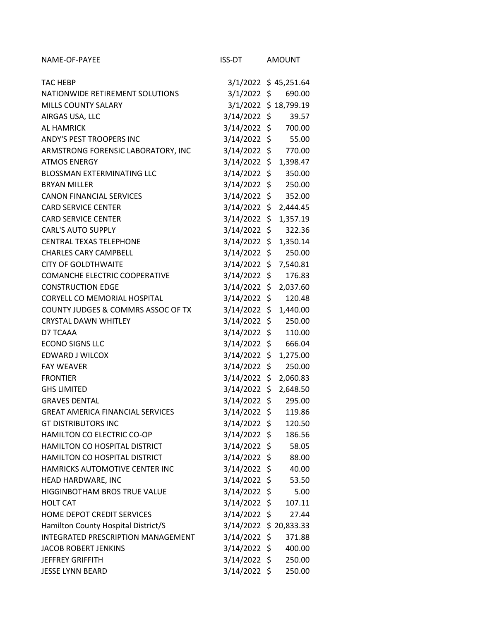| NAME-OF-PAYEE                           | ISS-DT                 | <b>AMOUNT</b>        |
|-----------------------------------------|------------------------|----------------------|
| <b>TAC HEBP</b>                         |                        | 3/1/2022 \$45,251.64 |
| NATIONWIDE RETIREMENT SOLUTIONS         | 3/1/2022 \$            | 690.00               |
| <b>MILLS COUNTY SALARY</b>              |                        | 3/1/2022 \$18,799.19 |
| AIRGAS USA, LLC                         | $3/14/2022$ \$         | 39.57                |
| <b>AL HAMRICK</b>                       | 3/14/2022 \$           | 700.00               |
| ANDY'S PEST TROOPERS INC                | 3/14/2022 \$           | 55.00                |
| ARMSTRONG FORENSIC LABORATORY, INC      | 3/14/2022 \$           | 770.00               |
| <b>ATMOS ENERGY</b>                     | 3/14/2022              | \$<br>1,398.47       |
| <b>BLOSSMAN EXTERMINATING LLC</b>       | $3/14/2022$ \$         | 350.00               |
| <b>BRYAN MILLER</b>                     | 3/14/2022 \$           | 250.00               |
| <b>CANON FINANCIAL SERVICES</b>         | 3/14/2022 \$           | 352.00               |
| <b>CARD SERVICE CENTER</b>              | 3/14/2022              | \$<br>2,444.45       |
| <b>CARD SERVICE CENTER</b>              | 3/14/2022              | \$<br>1,357.19       |
| <b>CARL'S AUTO SUPPLY</b>               | 3/14/2022 \$           | 322.36               |
| <b>CENTRAL TEXAS TELEPHONE</b>          | 3/14/2022 \$           | 1,350.14             |
| <b>CHARLES CARY CAMPBELL</b>            | 3/14/2022              | \$<br>250.00         |
| <b>CITY OF GOLDTHWAITE</b>              | 3/14/2022              | \$<br>7,540.81       |
| <b>COMANCHE ELECTRIC COOPERATIVE</b>    | $3/14/2022$ \$         | 176.83               |
| <b>CONSTRUCTION EDGE</b>                | 3/14/2022 \$           | 2,037.60             |
| CORYELL CO MEMORIAL HOSPITAL            | 3/14/2022              | \$<br>120.48         |
| COUNTY JUDGES & COMMRS ASSOC OF TX      | 3/14/2022              | \$<br>1,440.00       |
| <b>CRYSTAL DAWN WHITLEY</b>             | 3/14/2022              | \$<br>250.00         |
| D7 TCAAA                                | $3/14/2022$ \$         | 110.00               |
| <b>ECONO SIGNS LLC</b>                  | 3/14/2022 \$           | 666.04               |
| EDWARD J WILCOX                         | 3/14/2022              | \$<br>1,275.00       |
| <b>FAY WEAVER</b>                       | 3/14/2022              | \$<br>250.00         |
| <b>FRONTIER</b>                         | 3/14/2022              | \$<br>2,060.83       |
| <b>GHS LIMITED</b>                      | 3/14/2022 \$           | 2,648.50             |
| <b>GRAVES DENTAL</b>                    | 3/14/2022              | \$<br>295.00         |
| <b>GREAT AMERICA FINANCIAL SERVICES</b> | 3/14/2022 \$           | 119.86               |
| <b>GT DISTRIBUTORS INC</b>              | $3/14/2022$ \$         | 120.50               |
| HAMILTON CO ELECTRIC CO-OP              | $3/14/2022$ \$         | 186.56               |
| HAMILTON CO HOSPITAL DISTRICT           | $3/14/2022$ \$         | 58.05                |
| HAMILTON CO HOSPITAL DISTRICT           | $3/14/2022$ \$         | 88.00                |
| HAMRICKS AUTOMOTIVE CENTER INC          | $3/14/2022$ \$         | 40.00                |
| HEAD HARDWARE, INC                      | $3/14/2022$ \$         | 53.50                |
| HIGGINBOTHAM BROS TRUE VALUE            | 3/14/2022 \$           | 5.00                 |
| <b>HOLT CAT</b>                         | $3/14/2022$ \$         | 107.11               |
| HOME DEPOT CREDIT SERVICES              | $3/14/2022$ \$         | 27.44                |
| Hamilton County Hospital District/S     | 3/14/2022 \$ 20,833.33 |                      |
| INTEGRATED PRESCRIPTION MANAGEMENT      | $3/14/2022$ \$         | 371.88               |
| JACOB ROBERT JENKINS                    | 3/14/2022 \$           | 400.00               |
| <b>JEFFREY GRIFFITH</b>                 | $3/14/2022$ \$         | 250.00               |
| <b>JESSE LYNN BEARD</b>                 | $3/14/2022$ \$         | 250.00               |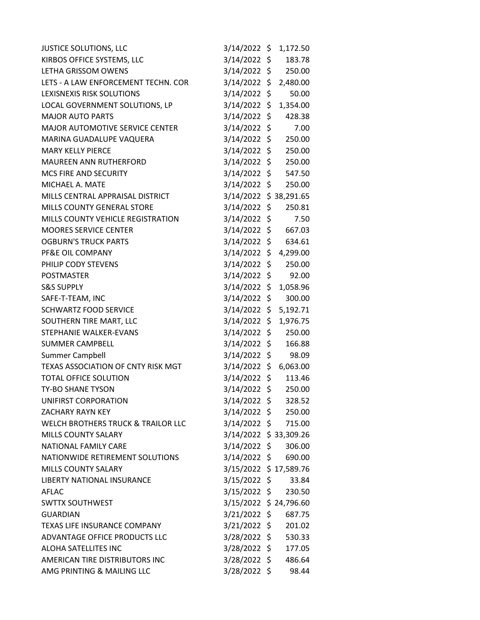| <b>JUSTICE SOLUTIONS, LLC</b>       | 3/14/2022 \$ 1,172.50  |     |          |
|-------------------------------------|------------------------|-----|----------|
| KIRBOS OFFICE SYSTEMS, LLC          | 3/14/2022 \$           |     | 183.78   |
| LETHA GRISSOM OWENS                 | 3/14/2022 \$           |     | 250.00   |
| LETS - A LAW ENFORCEMENT TECHN. COR | 3/14/2022 \$           |     | 2,480.00 |
| LEXISNEXIS RISK SOLUTIONS           | 3/14/2022 \$           |     | 50.00    |
| LOCAL GOVERNMENT SOLUTIONS, LP      | 3/14/2022 \$           |     | 1,354.00 |
| <b>MAJOR AUTO PARTS</b>             | 3/14/2022 \$           |     | 428.38   |
| MAJOR AUTOMOTIVE SERVICE CENTER     | 3/14/2022 \$           |     | 7.00     |
| MARINA GUADALUPE VAQUERA            | 3/14/2022 \$           |     | 250.00   |
| <b>MARY KELLY PIERCE</b>            | 3/14/2022 \$           |     | 250.00   |
| <b>MAUREEN ANN RUTHERFORD</b>       | 3/14/2022 \$           |     | 250.00   |
| MCS FIRE AND SECURITY               | 3/14/2022 \$           |     | 547.50   |
| MICHAEL A. MATE                     | 3/14/2022 \$           |     | 250.00   |
| MILLS CENTRAL APPRAISAL DISTRICT    | 3/14/2022 \$38,291.65  |     |          |
| <b>MILLS COUNTY GENERAL STORE</b>   | 3/14/2022 \$           |     | 250.81   |
| MILLS COUNTY VEHICLE REGISTRATION   | 3/14/2022 \$           |     | 7.50     |
| <b>MOORES SERVICE CENTER</b>        | 3/14/2022 \$           |     | 667.03   |
| <b>OGBURN'S TRUCK PARTS</b>         | 3/14/2022 \$           |     | 634.61   |
| PF&E OIL COMPANY                    | 3/14/2022 \$ 4,299.00  |     |          |
| PHILIP CODY STEVENS                 | 3/14/2022 \$           |     | 250.00   |
| <b>POSTMASTER</b>                   | 3/14/2022 \$           |     | 92.00    |
| <b>S&amp;S SUPPLY</b>               | $3/14/2022$ \$         |     | 1,058.96 |
| SAFE-T-TEAM, INC                    | 3/14/2022              | \$. | 300.00   |
| <b>SCHWARTZ FOOD SERVICE</b>        | 3/14/2022 \$           |     | 5,192.71 |
| SOUTHERN TIRE MART, LLC             | $3/14/2022$ \$         |     | 1,976.75 |
| STEPHANIE WALKER-EVANS              | 3/14/2022 \$           |     | 250.00   |
| <b>SUMMER CAMPBELL</b>              | 3/14/2022 \$           |     | 166.88   |
| Summer Campbell                     | 3/14/2022 \$           |     | 98.09    |
| TEXAS ASSOCIATION OF CNTY RISK MGT  | 3/14/2022 \$ 6,063.00  |     |          |
| <b>TOTAL OFFICE SOLUTION</b>        | 3/14/2022 \$           |     | 113.46   |
| TY-BO SHANE TYSON                   | $3/14/2022$ \$         |     | 250.00   |
| UNIFIRST CORPORATION                | 3/14/2022 \$           |     | 328.52   |
| <b>ZACHARY RAYN KEY</b>             | 3/14/2022 \$ 250.00    |     |          |
| WELCH BROTHERS TRUCK & TRAILOR LLC  | 3/14/2022 \$ 715.00    |     |          |
| <b>MILLS COUNTY SALARY</b>          | 3/14/2022 \$33,309.26  |     |          |
| NATIONAL FAMILY CARE                | 3/14/2022 \$ 306.00    |     |          |
| NATIONWIDE RETIREMENT SOLUTIONS     | 3/14/2022 \$           |     | 690.00   |
| <b>MILLS COUNTY SALARY</b>          | 3/15/2022 \$17,589.76  |     |          |
| LIBERTY NATIONAL INSURANCE          | 3/15/2022 \$           |     | 33.84    |
| AFLAC                               | 3/15/2022 \$           |     | 230.50   |
| <b>SWTTX SOUTHWEST</b>              | 3/15/2022 \$ 24,796.60 |     |          |
| <b>GUARDIAN</b>                     | 3/21/2022 \$           |     | 687.75   |
| TEXAS LIFE INSURANCE COMPANY        | 3/21/2022 \$           |     | 201.02   |
| ADVANTAGE OFFICE PRODUCTS LLC       | 3/28/2022 \$           |     | 530.33   |
| ALOHA SATELLITES INC                | 3/28/2022 \$           |     | 177.05   |
| AMERICAN TIRE DISTRIBUTORS INC      | 3/28/2022 \$           |     | 486.64   |
| AMG PRINTING & MAILING LLC          | 3/28/2022 \$           |     | 98.44    |